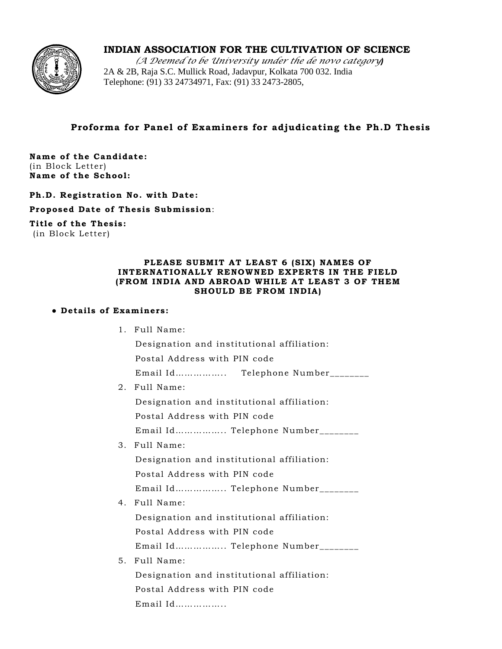

# **INDIAN ASSOCIATION FOR THE CULTIVATION OF SCIENCE**

(A Deemed to be University under the de novo category) 2A & 2B, Raja S.C. Mullick Road, Jadavpur, Kolkata 700 032. India Telephone: (91) 33 24734971, Fax: (91) 33 2473-2805,

## Proforma for Panel of Examiners for adjudicating the Ph.D Thesis

Name of the Candidate: (in Block Letter) Name of the School:

Ph.D. Registration No. with Date:

Proposed Date of Thesis Submission:

Title of the Thesis: (in Block Letter)

#### PLEASE SUBMIT AT LEAST 6 (SIX) NAMES OF INTERNATIONALLY RENOWNED EXPERTS IN THE FIELD (FROM INDIA AND ABROAD WHILE AT LEAST 3 OF THEM SHOULD BE FROM INDIA)

### • Details of Examiners:

1. Full Name:

Designation and institutional affiliation:

Postal Address with PIN code

Email Id................. Telephone Number\_\_\_\_\_\_\_

2. Full Name:

Designation and institutional affiliation:

Postal Address with PIN code

Email Id................ Telephone Number\_\_\_\_\_\_\_\_

3. Full Name:

Designation and institutional affiliation:

Postal Address with PIN code

Email Id................. Telephone Number\_\_\_\_\_\_\_

4. Full Name:

Designation and institutional affiliation:

Postal Address with PIN code

Email Id................ Telephone Number\_\_\_\_\_\_\_\_

## 5. Full Name:

Designation and institutional affiliation:

Postal Address with PIN code

Email Id.................